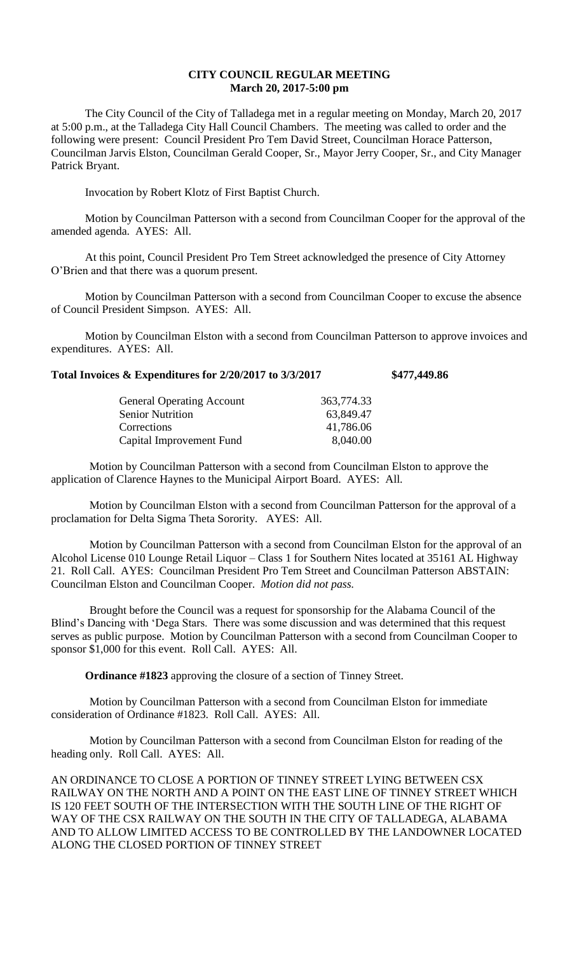## **CITY COUNCIL REGULAR MEETING March 20, 2017-5:00 pm**

The City Council of the City of Talladega met in a regular meeting on Monday, March 20, 2017 at 5:00 p.m., at the Talladega City Hall Council Chambers. The meeting was called to order and the following were present: Council President Pro Tem David Street, Councilman Horace Patterson, Councilman Jarvis Elston, Councilman Gerald Cooper, Sr., Mayor Jerry Cooper, Sr., and City Manager Patrick Bryant.

Invocation by Robert Klotz of First Baptist Church.

Motion by Councilman Patterson with a second from Councilman Cooper for the approval of the amended agenda. AYES: All.

At this point, Council President Pro Tem Street acknowledged the presence of City Attorney O'Brien and that there was a quorum present.

Motion by Councilman Patterson with a second from Councilman Cooper to excuse the absence of Council President Simpson. AYES: All.

Motion by Councilman Elston with a second from Councilman Patterson to approve invoices and expenditures. AYES: All.

## **Total Invoices & Expenditures for 2/20/2017 to 3/3/2017 \$477,449.86**

| 363,774.33 |
|------------|
| 63,849.47  |
| 41,786.06  |
| 8,040.00   |
|            |

Motion by Councilman Patterson with a second from Councilman Elston to approve the application of Clarence Haynes to the Municipal Airport Board. AYES: All.

Motion by Councilman Elston with a second from Councilman Patterson for the approval of a proclamation for Delta Sigma Theta Sorority. AYES: All.

Motion by Councilman Patterson with a second from Councilman Elston for the approval of an Alcohol License 010 Lounge Retail Liquor – Class 1 for Southern Nites located at 35161 AL Highway 21. Roll Call. AYES: Councilman President Pro Tem Street and Councilman Patterson ABSTAIN: Councilman Elston and Councilman Cooper. *Motion did not pass.*

Brought before the Council was a request for sponsorship for the Alabama Council of the Blind's Dancing with 'Dega Stars. There was some discussion and was determined that this request serves as public purpose. Motion by Councilman Patterson with a second from Councilman Cooper to sponsor \$1,000 for this event. Roll Call. AYES: All.

**Ordinance #1823** approving the closure of a section of Tinney Street.

Motion by Councilman Patterson with a second from Councilman Elston for immediate consideration of Ordinance #1823. Roll Call. AYES: All.

Motion by Councilman Patterson with a second from Councilman Elston for reading of the heading only. Roll Call. AYES: All.

AN ORDINANCE TO CLOSE A PORTION OF TINNEY STREET LYING BETWEEN CSX RAILWAY ON THE NORTH AND A POINT ON THE EAST LINE OF TINNEY STREET WHICH IS 120 FEET SOUTH OF THE INTERSECTION WITH THE SOUTH LINE OF THE RIGHT OF WAY OF THE CSX RAILWAY ON THE SOUTH IN THE CITY OF TALLADEGA, ALABAMA AND TO ALLOW LIMITED ACCESS TO BE CONTROLLED BY THE LANDOWNER LOCATED ALONG THE CLOSED PORTION OF TINNEY STREET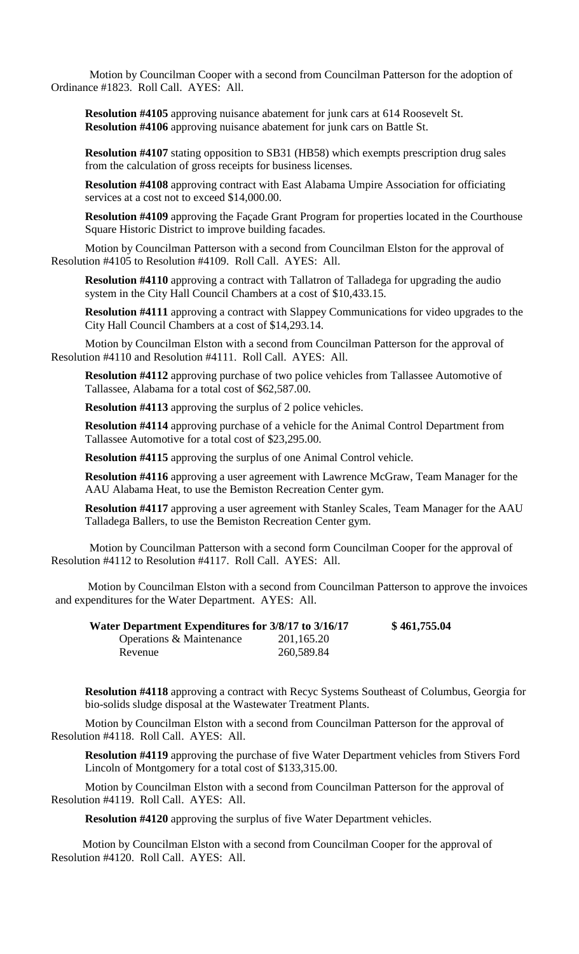Motion by Councilman Cooper with a second from Councilman Patterson for the adoption of Ordinance #1823. Roll Call. AYES: All.

**Resolution #4105** approving nuisance abatement for junk cars at 614 Roosevelt St. **Resolution #4106** approving nuisance abatement for junk cars on Battle St.

**Resolution #4107** stating opposition to SB31 (HB58) which exempts prescription drug sales from the calculation of gross receipts for business licenses.

**Resolution #4108** approving contract with East Alabama Umpire Association for officiating services at a cost not to exceed \$14,000.00.

**Resolution #4109** approving the Façade Grant Program for properties located in the Courthouse Square Historic District to improve building facades.

Motion by Councilman Patterson with a second from Councilman Elston for the approval of Resolution #4105 to Resolution #4109. Roll Call. AYES: All.

**Resolution #4110** approving a contract with Tallatron of Talladega for upgrading the audio system in the City Hall Council Chambers at a cost of \$10,433.15.

**Resolution #4111** approving a contract with Slappey Communications for video upgrades to the City Hall Council Chambers at a cost of \$14,293.14.

Motion by Councilman Elston with a second from Councilman Patterson for the approval of Resolution #4110 and Resolution #4111. Roll Call. AYES: All.

**Resolution #4112** approving purchase of two police vehicles from Tallassee Automotive of Tallassee, Alabama for a total cost of \$62,587.00.

**Resolution #4113** approving the surplus of 2 police vehicles.

**Resolution #4114** approving purchase of a vehicle for the Animal Control Department from Tallassee Automotive for a total cost of \$23,295.00.

**Resolution #4115** approving the surplus of one Animal Control vehicle.

**Resolution #4116** approving a user agreement with Lawrence McGraw, Team Manager for the AAU Alabama Heat, to use the Bemiston Recreation Center gym.

**Resolution #4117** approving a user agreement with Stanley Scales, Team Manager for the AAU Talladega Ballers, to use the Bemiston Recreation Center gym.

Motion by Councilman Patterson with a second form Councilman Cooper for the approval of Resolution #4112 to Resolution #4117. Roll Call. AYES: All.

Motion by Councilman Elston with a second from Councilman Patterson to approve the invoices and expenditures for the Water Department. AYES: All.

| Water Department Expenditures for 3/8/17 to 3/16/17 |            | \$461,755.04 |
|-----------------------------------------------------|------------|--------------|
| Operations & Maintenance                            | 201,165.20 |              |
| Revenue                                             | 260,589.84 |              |

**Resolution #4118** approving a contract with Recyc Systems Southeast of Columbus, Georgia for bio-solids sludge disposal at the Wastewater Treatment Plants.

Motion by Councilman Elston with a second from Councilman Patterson for the approval of Resolution #4118. Roll Call. AYES: All.

**Resolution #4119** approving the purchase of five Water Department vehicles from Stivers Ford Lincoln of Montgomery for a total cost of \$133,315.00.

Motion by Councilman Elston with a second from Councilman Patterson for the approval of Resolution #4119. Roll Call. AYES: All.

**Resolution #4120** approving the surplus of five Water Department vehicles.

 Motion by Councilman Elston with a second from Councilman Cooper for the approval of Resolution #4120. Roll Call. AYES: All.